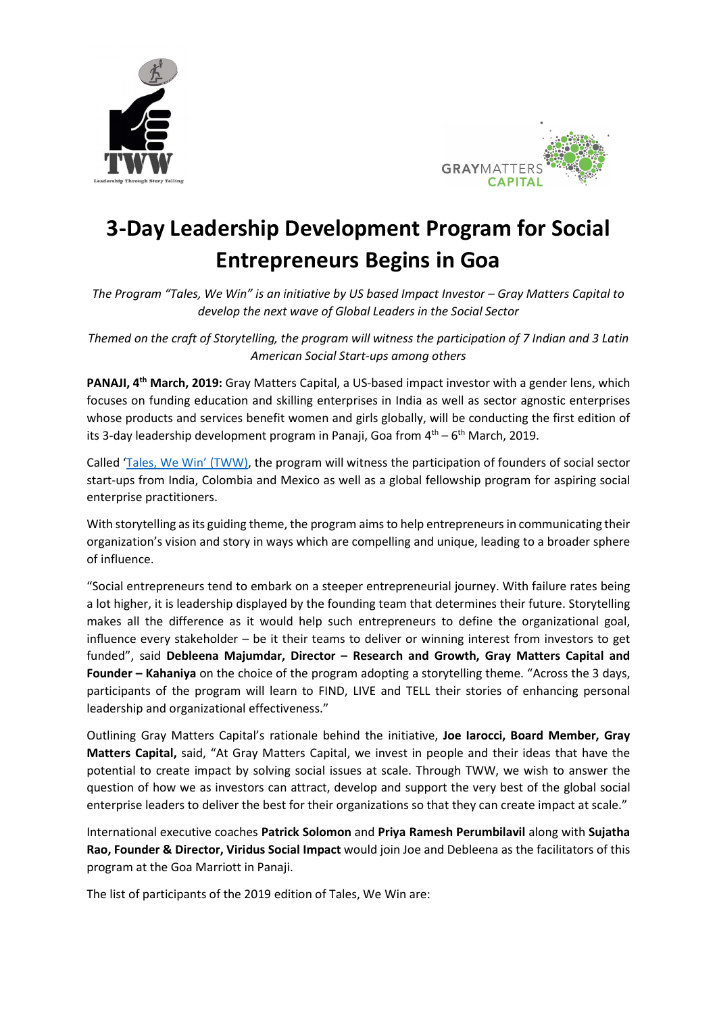



# 3-Day Leadership Development Program for Social Entrepreneurs Begins in Goa

The Program "Tales, We Win" is an initiative by US based Impact Investor – Gray Matters Capital to develop the next wave of Global Leaders in the Social Sector

Themed on the craft of Storytelling, the program will witness the participation of 7 Indian and 3 Latin American Social Start-ups among others

PANAJI, 4<sup>th</sup> March, 2019: Gray Matters Capital, a US-based impact investor with a gender lens, which focuses on funding education and skilling enterprises in India as well as sector agnostic enterprises whose products and services benefit women and girls globally, will be conducting the first edition of its 3-day leadership development program in Panaji, Goa from  $4<sup>th</sup> - 6<sup>th</sup>$  March, 2019.

Called 'Tales, We Win' (TWW), the program will witness the participation of founders of social sector start-ups from India, Colombia and Mexico as well as a global fellowship program for aspiring social enterprise practitioners.

With storytelling as its guiding theme, the program aims to help entrepreneurs in communicating their organization's vision and story in ways which are compelling and unique, leading to a broader sphere of influence.

"Social entrepreneurs tend to embark on a steeper entrepreneurial journey. With failure rates being a lot higher, it is leadership displayed by the founding team that determines their future. Storytelling makes all the difference as it would help such entrepreneurs to define the organizational goal, influence every stakeholder – be it their teams to deliver or winning interest from investors to get funded", said Debleena Majumdar, Director – Research and Growth, Gray Matters Capital and Founder – Kahaniya on the choice of the program adopting a storytelling theme. "Across the 3 days, participants of the program will learn to FIND, LIVE and TELL their stories of enhancing personal leadership and organizational effectiveness."

Outlining Gray Matters Capital's rationale behind the initiative, Joe Iarocci, Board Member, Gray Matters Capital, said, "At Gray Matters Capital, we invest in people and their ideas that have the potential to create impact by solving social issues at scale. Through TWW, we wish to answer the question of how we as investors can attract, develop and support the very best of the global social enterprise leaders to deliver the best for their organizations so that they can create impact at scale."

International executive coaches Patrick Solomon and Priya Ramesh Perumbilavil along with Sujatha Rao, Founder & Director, Viridus Social Impact would join Joe and Debleena as the facilitators of this program at the Goa Marriott in Panaji.

The list of participants of the 2019 edition of Tales, We Win are: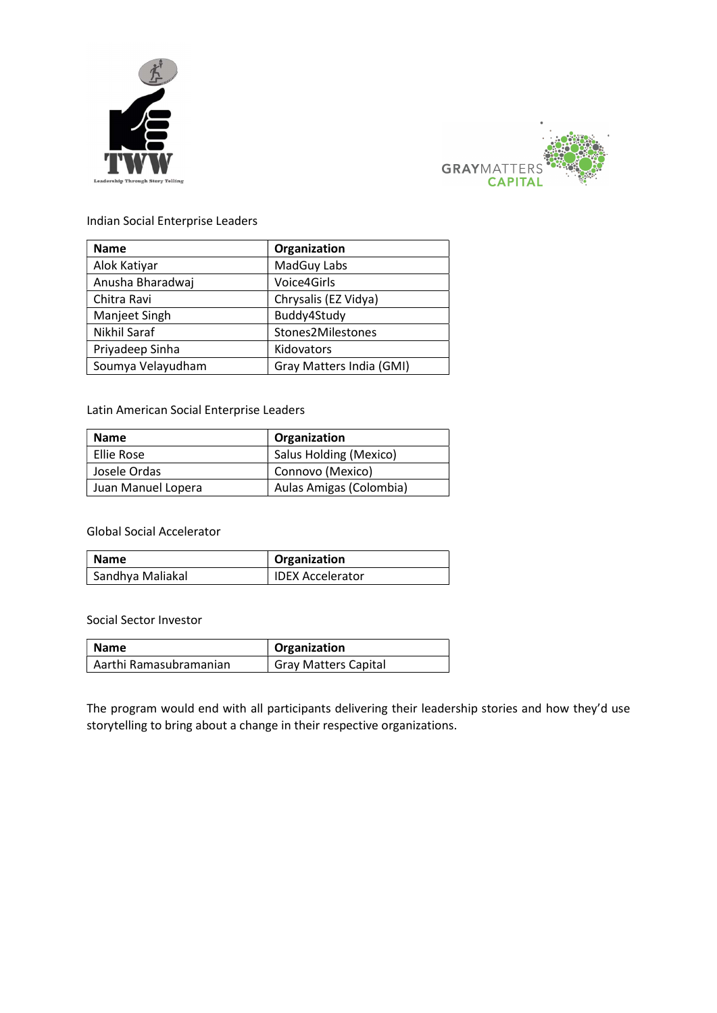



Indian Social Enterprise Leaders

| <b>Name</b>         | Organization             |
|---------------------|--------------------------|
| Alok Katiyar        | MadGuy Labs              |
| Anusha Bharadwaj    | Voice4Girls              |
| Chitra Ravi         | Chrysalis (EZ Vidya)     |
| Manjeet Singh       | Buddy4Study              |
| <b>Nikhil Saraf</b> | Stones2Milestones        |
| Priyadeep Sinha     | Kidovators               |
| Soumya Velayudham   | Gray Matters India (GMI) |

## Latin American Social Enterprise Leaders

| <b>Name</b>        | Organization            |
|--------------------|-------------------------|
| Ellie Rose         | Salus Holding (Mexico)  |
| Josele Ordas       | Connovo (Mexico)        |
| Juan Manuel Lopera | Aulas Amigas (Colombia) |

#### Global Social Accelerator

| <b>Name</b>      | Organization            |
|------------------|-------------------------|
| Sandhya Maliakal | <b>IDEX Accelerator</b> |

#### Social Sector Investor

| Name                   | <sup>1</sup> Organization   |
|------------------------|-----------------------------|
| Aarthi Ramasubramanian | <b>Gray Matters Capital</b> |

The program would end with all participants delivering their leadership stories and how they'd use storytelling to bring about a change in their respective organizations.